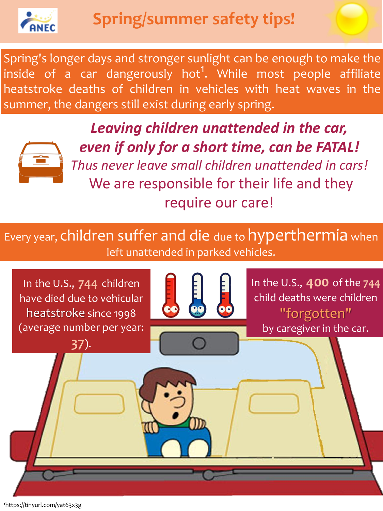*Leaving children unattended in the car, even if only for a short time, can be FATAL! Thus never leave small children unattended in cars!* We are responsible for their life and they require our care!



Every year, children suffer and die due to hyperthermia when left unattended in parked vehicles.

¹https://tinyurl.com/yat63x3g

Spring's longer days and stronger sunlight can be enough to make the inside of a car dangerously hot<sup>1</sup>. While most people affiliate heatstroke deaths of children in vehicles with heat waves in the summer, the dangers still exist during early spring.



In the U.S., **400** of the **744** child deaths were children "forgotten" by caregiver in the car.



In the U.S., **744** children have died due to vehicular heatstroke since 1998 (average number per year:

**37**).

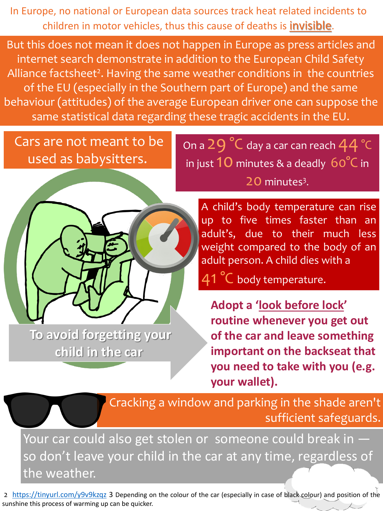But this does not mean it does not happen in Europe as press articles and internet search demonstrate in addition to the European Child Safety Alliance factsheet<sup>2</sup>. Having the same weather conditions in the countries of the EU (especially in the Southern part of Europe) and the same behaviour (attitudes) of the average European driver one can suppose the same statistical data regarding these tragic accidents in the EU.

> A child's body temperature can rise up to five times faster than an adult's, due to their much less weight compared to the body of an adult person. A child dies with a 41 °C body temperature.

Your car could also get stolen or someone could break in  $$ so don't leave your child in the car at any time, regardless of the weather.

# Cars are not meant to be used as babysitters.

On a 29 °C day a car can reach 44 °C in just  $10$  minutes & a deadly  $60^{\circ}$ C in 20 minutes<sup>3</sup>.



2 <https://tinyurl.com/y9v9kzqz> 3 Depending on the colour of the car (especially in case of black colour) and position of the sunshine this process of warming up can be quicker.

**Adopt a 'look before lock' routine whenever you get out of the car and leave something important on the backseat that** 

## **you need to take with you (e.g. your wallet).**

Cracking a window and parking in the shade aren't sufficient safeguards.

**To avoid forgetting your child in the car**

In Europe, no national or European data sources track heat related incidents to children in motor vehicles, thus this cause of deaths is invisible.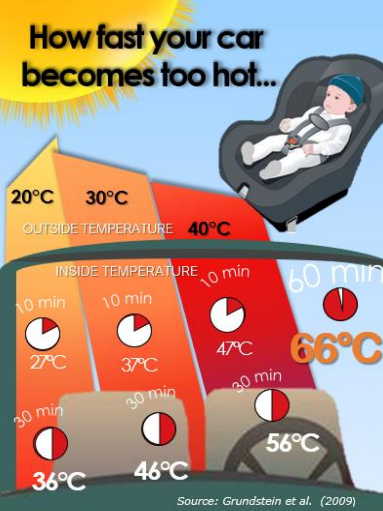# How fast your car becomes too hot...

### $20^{\circ}$ C  $30^{\circ}$ C

# OUTSIDE TEMPERATURE 40°C